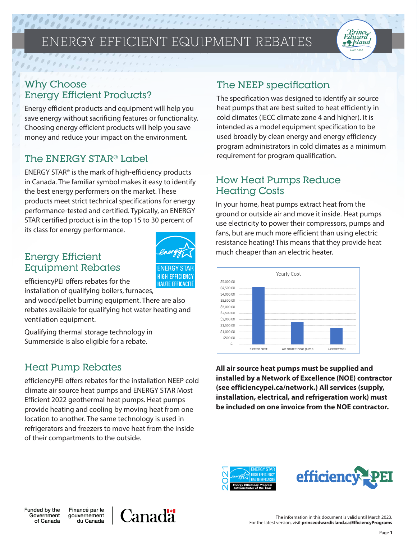# ENERGY EFFICIENT EQUIPMENT REBATES

## Why Choose Energy Efficient Products?

 $\begin{picture}(20,20) \put(0,0){\dashbox{0.5}(20,0){ }} \thicklines \put(0,0){\dashbox{0.5}(20,0){ }} \thicklines \put(0,0){\dashbox{0.5}(20,0){ }} \thicklines \put(0,0){\dashbox{0.5}(20,0){ }} \thicklines \put(0,0){\dashbox{0.5}(20,0){ }} \thicklines \put(0,0){\dashbox{0.5}(20,0){ }} \thicklines \put(0,0){\dashbox{0.5}(20,0){ }} \thicklines \put(0,0){\dashbox{0.5}(20,0){ }} \thicklines \put(0,0){\dash$ 

 $\begin{array}{ccccc} \mathcal{O} & \mathcal{O} & \mathcal{O} & \mathcal{O} \end{array}$ 

Energy efficient products and equipment will help you save energy without sacrificing features or functionality. Choosing energy efficient products will help you save money and reduce your impact on the environment.

## The ENERGY STAR® Label

ENERGY STAR® is the mark of high-efficiency products in Canada. The familiar symbol makes it easy to identify the best energy performers on the market. These products meet strict technical specifications for energy performance-tested and certified. Typically, an ENERGY STAR certified product is in the top 15 to 30 percent of its class for energy performance.



## Energy Efficient Equipment Rebates

efficiencyPEI offers rebates for the

installation of qualifying boilers, furnaces,

and wood/pellet burning equipment. There are also rebates available for qualifying hot water heating and ventilation equipment.

Qualifying thermal storage technology in Summerside is also eligible for a rebate.

## Heat Pump Rebates

efficiencyPEI offers rebates for the installation NEEP cold climate air source heat pumps and ENERGY STAR Most Efficient 2022 geothermal heat pumps. Heat pumps provide heating and cooling by moving heat from one location to another. The same technology is used in refrigerators and freezers to move heat from the inside of their compartments to the outside.

## The NEEP specification

The specification was designed to identify air source heat pumps that are best suited to heat efficiently in cold climates (IECC climate zone 4 and higher). It is intended as a model equipment specification to be used broadly by clean energy and energy efficiency program administrators in cold climates as a minimum requirement for program qualification.

Prince Edward **F** Sland

## How Heat Pumps Reduce **Heating Costs**

In your home, heat pumps extract heat from the ground or outside air and move it inside. Heat pumps use electricity to power their compressors, pumps and fans, but are much more efficient than using electric resistance heating! This means that they provide heat much cheaper than an electric heater.



**All air source heat pumps must be supplied and installed by a Network of Excellence (NOE) contractor (see efficiencypei.ca/network.) All services (supply, installation, electrical, and refrigeration work) must be included on one invoice from the NOE contractor.**



Funded by the Government of Canada

Financé par le gouvernement du Canada

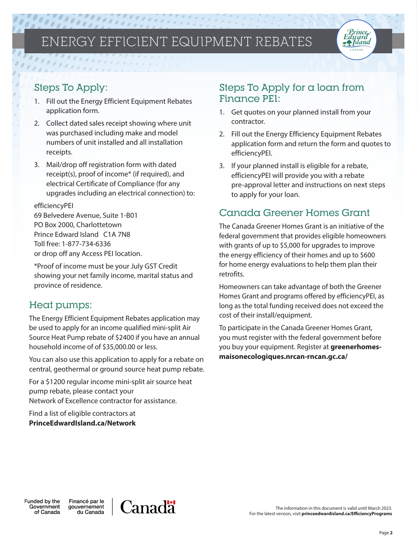## ENERGY EFFICIENT EQUIPMENT REBATES



- 1. Fill out the Energy Efficient Equipment Rebates application form.
- 2. Collect dated sales receipt showing where unit was purchased including make and model numbers of unit installed and all installation receipts.
- 3. Mail/drop off registration form with dated receipt(s), proof of income\* (if required), and electrical Certificate of Compliance (for any upgrades including an electrical connection) to:

### efficiencyPEI

69 Belvedere Avenue, Suite 1-B01 PO Box 2000, Charlottetown Prince Edward Island C1A 7N8 Toll free: 1-877-734-6336 or drop off any Access PEI location.

\*Proof of income must be your July GST Credit showing your net family income, marital status and province of residence.

### Heat pumps:

The Energy Efficient Equipment Rebates application may be used to apply for an income qualified mini-split Air Source Heat Pump rebate of \$2400 if you have an annual household income of of \$35,000.00 or less.

You can also use this application to apply for a rebate on central, geothermal or ground source heat pump rebate.

For a \$1200 regular income mini-split air source heat pump rebate, please contact your Network of Excellence contractor for assistance.

Find a list of eligible contractors at **PrinceEdwardIsland.ca/Network**

## Steps To Apply for a loan from Finance PEI:

- 1. Get quotes on your planned install from your contractor.
- 2. Fill out the Energy Efficiency Equipment Rebates application form and return the form and quotes to efficiencyPEI.

Prince Edward **Refsland** 

3. If your planned install is eligible for a rebate, efficiencyPEI will provide you with a rebate pre-approval letter and instructions on next steps to apply for your loan.

## Canada Greener Homes Grant

The Canada Greener Homes Grant is an initiative of the federal government that provides eligible homeowners with grants of up to \$5,000 for upgrades to improve the energy efficiency of their homes and up to \$600 for home energy evaluations to help them plan their retrofits.

Homeowners can take advantage of both the Greener Homes Grant and programs offered by efficiencyPEI, as long as the total funding received does not exceed the cost of their install/equipment.

To participate in the Canada Greener Homes Grant, you must register with the federal government before you buy your equipment. Register at **greenerhomesmaisonecologiques.nrcan-rncan.gc.ca/**

Funded by the Government of Canada

Financé par le gouvernement du Canada

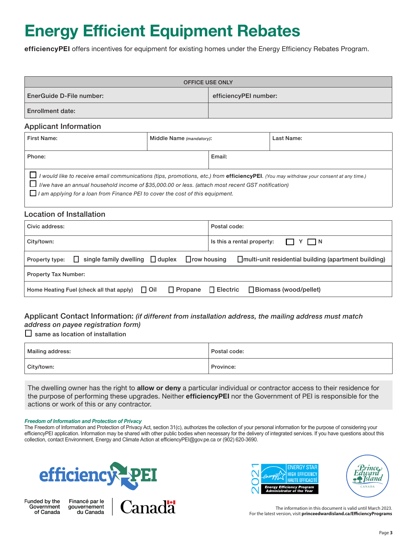# **Energy Efficient Equipment Rebates**

**efficiencyPEI** offers incentives for equipment for existing homes under the Energy Efficiency Rebates Program.

| <b>OFFICE USE ONLY</b>   |                       |  |  |  |  |
|--------------------------|-----------------------|--|--|--|--|
| EnerGuide D-File number: | efficiencyPEI number: |  |  |  |  |
| <b>Enrollment date:</b>  |                       |  |  |  |  |

### Applicant Information

| First Name:                                                                                                                                                                                                                                                                                                                           | Middle Name (mandatory): |  | Last Name: |  |  |
|---------------------------------------------------------------------------------------------------------------------------------------------------------------------------------------------------------------------------------------------------------------------------------------------------------------------------------------|--------------------------|--|------------|--|--|
| Phone:                                                                                                                                                                                                                                                                                                                                |                          |  |            |  |  |
| I would like to receive email communications (tips, promotions, etc.) from efficiencyPEI. (You may withdraw your consent at any time.)<br>I/we have an annual household income of \$35,000.00 or less. (attach most recent GST notification)<br>$\Box$ I am applying for a loan from Finance PEI to cover the cost of this equipment. |                          |  |            |  |  |

### Location of Installation

| Civic address:                                                                                                                           | Postal code:                                                |  |  |  |  |
|------------------------------------------------------------------------------------------------------------------------------------------|-------------------------------------------------------------|--|--|--|--|
| City/town:                                                                                                                               | Is this a rental property: $\Box Y \Box N$                  |  |  |  |  |
| $\Box$ single family dwelling $\Box$ duplex $\Box$ row housing<br>multi-unit residential building (apartment building)<br>Property type: |                                                             |  |  |  |  |
| <b>Property Tax Number:</b>                                                                                                              |                                                             |  |  |  |  |
| Home Heating Fuel (check all that apply) $\Box$ Oil                                                                                      | $\Box$ Propane $\Box$ Electric $\Box$ Biomass (wood/pellet) |  |  |  |  |

### Applicant Contact Information: *(if different from installation address, the mailing address must match address on payee registration form)*

### $\square$  same as location of installation

| Mailing address: | Postal code: |
|------------------|--------------|
| City/town:       | Province:    |

The dwelling owner has the right to **allow or deny** a particular individual or contractor access to their residence for the purpose of performing these upgrades. Neither **efficiencyPEI** nor the Government of PEI is responsible for the actions or work of this or any contractor.

### *Freedom of Information and Protection of Privacy*

The Freedom of Information and Protection of Privacy Act, section 31(c), authorizes the collection of your personal information for the purpose of considering your efficiencyPEI application. Information may be shared with other public bodies when necessary for the delivery of integrated services. If you have questions about this collection, contact Environment, Energy and Climate Action at efficiencyPEI@gov.pe.ca or (902) 620-3690.



Funded by the Government of Canada







The information in this document is valid until March 2023. For the latest version, visit **princeedwardisland.ca/EfficiencyPrograms**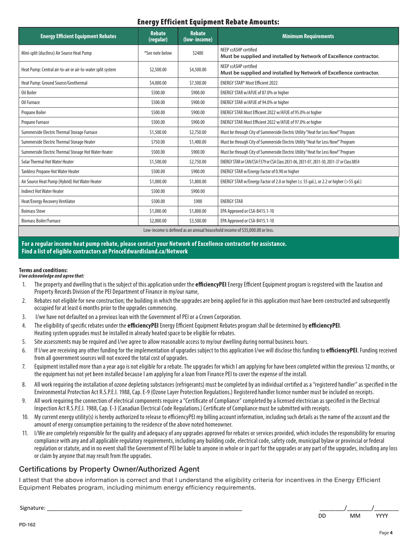### Energy Efficient Equipment Rebate Amounts: Resterior finished with  $\mathbf{F}$

| <b>Energy Efficient Equipment Rebates</b>                                   | <b>Rebate</b><br>(regular) | <b>Rebate</b><br>(low-income) | <b>Minimum Requirements</b>                                                                     |  |
|-----------------------------------------------------------------------------|----------------------------|-------------------------------|-------------------------------------------------------------------------------------------------|--|
| Mini-split (ductless) Air Source Heat Pump                                  | *See note below            | \$2400                        | NEEP ccASHP certified<br>Must be supplied and installed by Network of Excellence contractor.    |  |
| Heat Pump: Central air-to-air or air-to-water split system                  | \$2,500.00                 | \$4,500.00                    | NEEP ccASHP certified<br>Must be supplied and installed by Network of Excellence contractor.    |  |
| Heat Pump: Ground Source/Geothermal                                         | \$4,000.00                 | \$7,500.00                    | ENERGY STAR <sup>®</sup> Most Efficient 2022                                                    |  |
| Oil Boiler                                                                  | \$500.00                   | \$900.00                      | ENERGY STAR w/AFUE of 87.0% or higher                                                           |  |
| Oil Furnace                                                                 | \$500.00                   | \$900.00                      | ENERGY STAR w/AFUE of 94.0% or higher                                                           |  |
| Propane Boiler                                                              | \$500.00                   | \$900.00                      | ENERGY STAR Most Efficient 2022 w/AFUE of 95.0% or higher                                       |  |
| Propane Furnace                                                             | \$500.00                   | \$900.00                      | ENERGY STAR Most Efficient 2022 w/AFUE of 97.0% or higher                                       |  |
| Summerside Electric Thermal Storage Furnace                                 | \$1,500.00                 | \$2,750.00                    | Must be through City of Summerside Electric Utility "Heat for Less Now!" Program                |  |
| Summerside Electric Thermal Storage Heater                                  | \$750.00                   | \$1,400.00                    | Must be through City of Summerside Electric Utility "Heat for Less Now!" Program                |  |
| Summerside Electric Thermal Storage Hot Water Heater                        | \$500.00                   | \$900.00                      | Must be through City of Summerside Electric Utility "Heat for Less Now!" Program                |  |
| Solar Thermal Hot Water Heater                                              | \$1,500.00                 | \$2,750.00                    | ENERGY STAR or CAN/CSA F379 or CSA Class 2831-06, 2831-07, 2831-30, 2831-37 or Class 8854       |  |
| <b>Tankless Propane Hot Water Heater</b>                                    | \$500.00                   | \$900.00                      | ENERGY STAR w/Energy Factor of 0.90 or higher                                                   |  |
| Air Source Heat Pump (Hybrid) Hot Water Heater                              | \$1,000.00                 | \$1,800.00                    | ENERGY STAR w/Energy Factor of 2.0 or higher ( $\leq$ 55 gal.), or 2.2 or higher ( $>$ 55 gal.) |  |
| <b>Indirect Hot Water Heater</b>                                            | \$500.00                   | \$900.00                      |                                                                                                 |  |
| Heat/Energy Recovery Ventilator                                             | \$500.00                   | \$900                         | <b>ENERGY STAR</b>                                                                              |  |
| <b>Boimass Stove</b>                                                        | \$1,000.00                 | \$1,800.00                    | EPA Approved or CSA-B415.1-10                                                                   |  |
| <b>Biomass Boiler/Furnace</b>                                               | \$2,000.00                 | \$3,500.00                    | EPA Approved or CSA-B415.1-10                                                                   |  |
| Low-income is defined as an annual household income of \$35,000.00 or less. |                            |                               |                                                                                                 |  |

For a regular income heat pump rebate, please contact your Network of Excellence contractor for assistance. The contraction of the contractor of the contractor of the contractor for assistance. **Find a list of eligible contractors at PrinceEdwardIsland.ca/Network and the contractor of the contractor of the contractors at PrinceEdwardIsland.ca/Network and the contractors at PrinceEdwardIsland.ca/Network and the co** 

### **Terms and conditions:** 2. I/We are vious of the conditions of  $\overline{P}$  and  $\overline{P}$

### *I/we acknowledge and agree that:*  $\overline{\phantom{a}}$

dwelling and the complete of the complete design of the complete of the complete design of the complete design

- 1. The property and dwelling that is the subject of this application under the **efficiencyPEI** Energy Efficient Equipment program is registered with the Taxation and Property Records Division of the PEI Department of Finance in my/our name, Froperty Records Division of the PEI Department of Finance in my/our name,
- 2. Rebates not eligible for new construction; the building in which the upgrades are being applied for in this application must have been constructed and subsequently occupied for at least 6 months prior to the upgrades commencing. 2. Rebates not eligible for new construction; the building in which the upgrades are being
- 3. I/we have not defaulted on a previous loan with the Government of PEI or a Crown Corporation.
- 4. The eligibility of specific rebates under the **efficiencyPEI** Energy Efficient Equipment Rebates program shall be determined by **efficiencyPEI**. Heating system upgrades must be installed in already heated space to be eligible for rebates.
- 5. Site assessments may be required and I/we agree to allow reasonable access to my/our dwelling during normal business hours.
- 6. If I/we are receiving any other funding for the implementation of upgrades subject to this application I/we will disclose this funding to *efficiencyPEI*. Funding received from all government sources will not exceed the total cost of upgrades.
- 7. Equipment installed more than a year ago is not eligible for a rebate. The upgrades for which I am applying for have been completed within the previous 12 months, or the equipment has not yet been installed because I am applying for a loan from Finance PEI to cover the expense of the install. inc. cquipment has not yet been instanca because **rain apprying for a four from Finance** FEI to cover the expense of the instant.
- 8. All work requiring the installation of ozone depleting substances (refrigerants) must be completed by an individual certified as a "registered handler" as specified in the Environmental Protection Act R.S.P.E.I. 1988, Cap. E-9 (Ozone Layer Protection Regulations.) Registered handler licence number must be included on receipts.
- 9. All work requiring the connection of electrical components require a "Certificate of Compliance" completed by a licensed electrician as specified in the Electrical Inspection Act R.S.P.E.I. 1988, Cap. E-3 (Canadian Electrical Code Regulations.) Certificate of Compliance must be submitted with receipts.
- 10. My current energy utility(s) is hereby authorized to release to efficiencyPEI my billing account information, including such details as the name of the account and the amount of energy consumption pertaining to the residence of the above noted homeowner.
- 11. I/We are completely responsible for the quality and adequacy of any upgrades approved for rebates or services provided, which includes the responsibility for ensuring compliance with any and all applicable regulatory requirements, including any building code, electrical code, afety code, municipal bylaw or provincial or federal regulation or statute, and in no event shall the Government of PEI be liable to anyone in whole or in part for the upgrades or any part of the upgrades, including any loss or claim by anyone that may result from the upgrades. or clann by anyone enacting result from the apgraacs.

### Certifications by Property Owner/Authorized Agent

implementation  $\tilde{I}$  is the  $\tilde{I}$  current order  $\tilde{I}$  . The second provider  $\tilde{I}$  is the second to  $\tilde{I}$ l attest that the above information is correct and that I understand the eligibility criteria for incentives in the Energy Efficient<br>F Equipment Rebates program, including minimum energy efficiency requirements.

Signature: \_\_\_\_\_\_\_\_\_\_\_\_\_\_\_\_\_\_\_\_\_\_\_\_\_\_\_\_\_\_\_\_\_\_\_\_\_\_\_\_\_\_\_\_\_\_\_\_\_\_\_\_\_\_\_\_\_\_\_\_\_\_\_ \_\_\_\_\_\_\_\_/\_\_\_\_\_\_\_\_/\_\_\_\_\_\_\_\_ DD MM YYYY